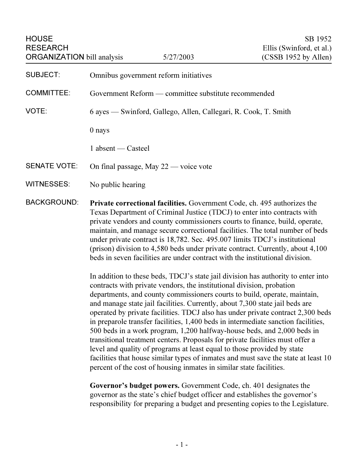| <b>HOUSE</b><br><b>RESEARCH</b><br><b>ORGANIZATION</b> bill analysis |                                                                                                                                                                                                                                                                                                                                                                                                                                                                                                                                                                             | 5/27/2003 | SB 1952<br>Ellis (Swinford, et al.)<br>(CSSB 1952 by Allen) |  |
|----------------------------------------------------------------------|-----------------------------------------------------------------------------------------------------------------------------------------------------------------------------------------------------------------------------------------------------------------------------------------------------------------------------------------------------------------------------------------------------------------------------------------------------------------------------------------------------------------------------------------------------------------------------|-----------|-------------------------------------------------------------|--|
| <b>SUBJECT:</b>                                                      | Omnibus government reform initiatives                                                                                                                                                                                                                                                                                                                                                                                                                                                                                                                                       |           |                                                             |  |
| <b>COMMITTEE:</b>                                                    | Government Reform — committee substitute recommended                                                                                                                                                                                                                                                                                                                                                                                                                                                                                                                        |           |                                                             |  |
| VOTE:                                                                | 6 ayes — Swinford, Gallego, Allen, Callegari, R. Cook, T. Smith                                                                                                                                                                                                                                                                                                                                                                                                                                                                                                             |           |                                                             |  |
|                                                                      | 0 nays                                                                                                                                                                                                                                                                                                                                                                                                                                                                                                                                                                      |           |                                                             |  |
|                                                                      | 1 absent — Casteel                                                                                                                                                                                                                                                                                                                                                                                                                                                                                                                                                          |           |                                                             |  |
| <b>SENATE VOTE:</b>                                                  | On final passage, May $22$ — voice vote                                                                                                                                                                                                                                                                                                                                                                                                                                                                                                                                     |           |                                                             |  |
| <b>WITNESSES:</b>                                                    | No public hearing                                                                                                                                                                                                                                                                                                                                                                                                                                                                                                                                                           |           |                                                             |  |
| <b>BACKGROUND:</b>                                                   | <b>Private correctional facilities.</b> Government Code, ch. 495 authorizes the<br>Texas Department of Criminal Justice (TDCJ) to enter into contracts with<br>private vendors and county commissioners courts to finance, build, operate,<br>maintain, and manage secure correctional facilities. The total number of beds<br>under private contract is 18,782. Sec. 495.007 limits TDCJ's institutional<br>(prison) division to 4,580 beds under private contract. Currently, about 4,100<br>beds in seven facilities are under contract with the institutional division. |           |                                                             |  |
|                                                                      | In addition to these beds, TDCJ's state jail division has authority to enter into<br>contracts with private vendors, the institutional division, probation<br>departments, and county commissioners courts to build, operate, maintain,<br>and manage state jail facilities. Currently, about 7,300 state jail beds are<br>operated by private facilities TDCI also has under private contract 2.300 heds                                                                                                                                                                   |           |                                                             |  |

operated by private facilities. TDCJ also has under private contract 2,300 beds in preparole transfer facilities, 1,400 beds in intermediate sanction facilities, 500 beds in a work program, 1,200 halfway-house beds, and 2,000 beds in transitional treatment centers. Proposals for private facilities must offer a level and quality of programs at least equal to those provided by state facilities that house similar types of inmates and must save the state at least 10 percent of the cost of housing inmates in similar state facilities.

Governor's budget powers. Government Code, ch. 401 designates the governor as the state's chief budget officer and establishes the governor's responsibility for preparing a budget and presenting copies to the Legislature.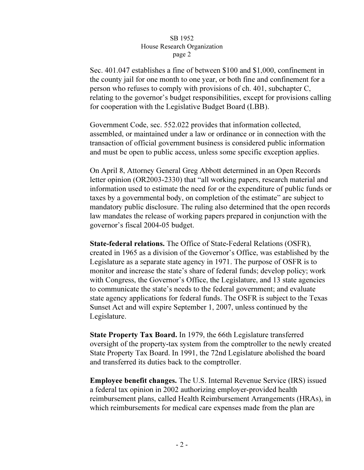## SB 1952 House Research Organization page 2  $r^{2}$

Sec. 401.047 establishes a fine of between \$100 and \$1,000, confinement in the county jail for one month to one year, or both fine and confinement for a person who refuses to comply with provisions of ch. 401, subchapter C, relating to the governor's budget responsibilities, except for provisions calling for cooperation with the Legislative Budget Board (LBB).

Government Code, sec. 552.022 provides that information collected, assembled, or maintained under a law or ordinance or in connection with the transaction of official government business is considered public information and must be open to public access, unless some specific exception applies.

On April 8, Attorney General Greg Abbott determined in an Open Records letter opinion (OR2003-2330) that "all working papers, research material and information used to estimate the need for or the expenditure of public funds or taxes by a governmental body, on completion of the estimate" are subject to mandatory public disclosure. The ruling also determined that the open records law mandates the release of working papers prepared in conjunction with the governor's fiscal 2004-05 budget.

State-federal relations. The Office of State-Federal Relations (OSFR), created in 1965 as a division of the Governor's Office, was established by the Legislature as a separate state agency in 1971. The purpose of OSFR is to monitor and increase the state's share of federal funds; develop policy; work with Congress, the Governor's Office, the Legislature, and 13 state agencies to communicate the state's needs to the federal government; and evaluate state agency applications for federal funds. The OSFR is subject to the Texas Sunset Act and will expire September 1, 2007, unless continued by the Legislature.

State Property Tax Board. In 1979, the 66th Legislature transferred oversight of the property-tax system from the comptroller to the newly created State Property Tax Board. In 1991, the 72nd Legislature abolished the board and transferred its duties back to the comptroller.

Employee benefit changes. The U.S. Internal Revenue Service (IRS) issued a federal tax opinion in 2002 authorizing employer-provided health reimbursement plans, called Health Reimbursement Arrangements (HRAs), in which reimbursements for medical care expenses made from the plan are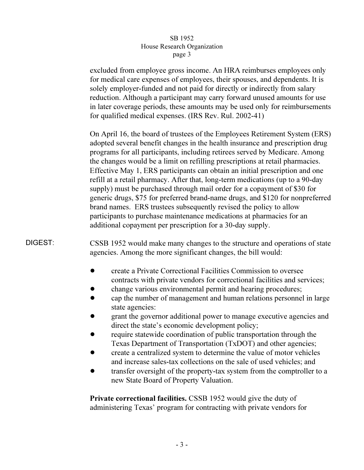# SB 1952 House Research Organization page 3  $\mathbf{r}$   $\mathbf{r}$   $\mathbf{s}$   $\mathbf{r}$   $\mathbf{s}$

excluded from employee gross income. An HRA reimburses employees only for medical care expenses of employees, their spouses, and dependents. It is solely employer-funded and not paid for directly or indirectly from salary reduction. Although a participant may carry forward unused amounts for use in later coverage periods, these amounts may be used only for reimbursements for qualified medical expenses. (IRS Rev. Rul. 2002-41)

On April 16, the board of trustees of the Employees Retirement System (ERS) adopted several benefit changes in the health insurance and prescription drug programs for all participants, including retirees served by Medicare. Among the changes would be a limit on refilling prescriptions at retail pharmacies. Effective May 1, ERS participants can obtain an initial prescription and one refill at a retail pharmacy. After that, long-term medications (up to a 90-day supply) must be purchased through mail order for a copayment of \$30 for generic drugs, \$75 for preferred brand-name drugs, and \$120 for nonpreferred brand names. ERS trustees subsequently revised the policy to allow participants to purchase maintenance medications at pharmacies for an additional copayment per prescription for a 30-day supply.

DIGEST: CSSB 1952 would make many changes to the structure and operations of state agencies. Among the more significant changes, the bill would:

- ! create a Private Correctional Facilities Commission to oversee contracts with private vendors for correctional facilities and services;
- ! change various environmental permit and hearing procedures;
- cap the number of management and human relations personnel in large state agencies:
- ! grant the governor additional power to manage executive agencies and direct the state's economic development policy;
- require statewide coordination of public transportation through the Texas Department of Transportation (TxDOT) and other agencies;
- ! create a centralized system to determine the value of motor vehicles and increase sales-tax collections on the sale of used vehicles; and
- ! transfer oversight of the property-tax system from the comptroller to a new State Board of Property Valuation.

Private correctional facilities. CSSB 1952 would give the duty of administering Texas' program for contracting with private vendors for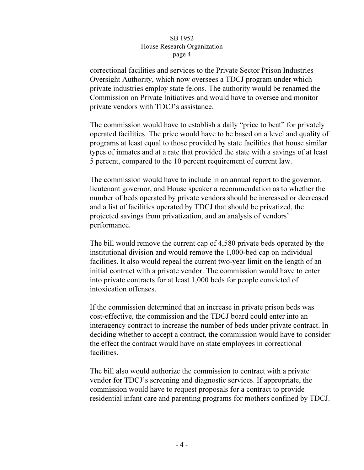# SB 1952 House Research Organization page 4  $\mathbf{r}^{\mu}$ ge  $\mathbf{r}$

correctional facilities and services to the Private Sector Prison Industries Oversight Authority, which now oversees a TDCJ program under which private industries employ state felons. The authority would be renamed the Commission on Private Initiatives and would have to oversee and monitor private vendors with TDCJ's assistance.

The commission would have to establish a daily "price to beat" for privately operated facilities. The price would have to be based on a level and quality of programs at least equal to those provided by state facilities that house similar types of inmates and at a rate that provided the state with a savings of at least 5 percent, compared to the 10 percent requirement of current law.

The commission would have to include in an annual report to the governor, lieutenant governor, and House speaker a recommendation as to whether the number of beds operated by private vendors should be increased or decreased and a list of facilities operated by TDCJ that should be privatized, the projected savings from privatization, and an analysis of vendors' performance.

The bill would remove the current cap of 4,580 private beds operated by the institutional division and would remove the 1,000-bed cap on individual facilities. It also would repeal the current two-year limit on the length of an initial contract with a private vendor. The commission would have to enter into private contracts for at least 1,000 beds for people convicted of intoxication offenses.

If the commission determined that an increase in private prison beds was cost-effective, the commission and the TDCJ board could enter into an interagency contract to increase the number of beds under private contract. In deciding whether to accept a contract, the commission would have to consider the effect the contract would have on state employees in correctional facilities.

The bill also would authorize the commission to contract with a private vendor for TDCJ's screening and diagnostic services. If appropriate, the commission would have to request proposals for a contract to provide residential infant care and parenting programs for mothers confined by TDCJ.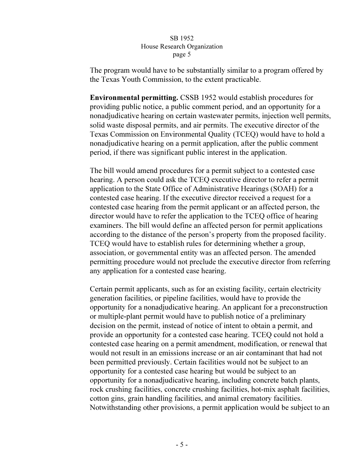# SB 1952 House Research Organization page 5  $r^{\alpha}$

The program would have to be substantially similar to a program offered by the Texas Youth Commission, to the extent practicable.

Environmental permitting. CSSB 1952 would establish procedures for providing public notice, a public comment period, and an opportunity for a nonadjudicative hearing on certain wastewater permits, injection well permits, solid waste disposal permits, and air permits. The executive director of the Texas Commission on Environmental Quality (TCEQ) would have to hold a nonadjudicative hearing on a permit application, after the public comment period, if there was significant public interest in the application.

The bill would amend procedures for a permit subject to a contested case hearing. A person could ask the TCEQ executive director to refer a permit application to the State Office of Administrative Hearings (SOAH) for a contested case hearing. If the executive director received a request for a contested case hearing from the permit applicant or an affected person, the director would have to refer the application to the TCEQ office of hearing examiners. The bill would define an affected person for permit applications according to the distance of the person's property from the proposed facility. TCEQ would have to establish rules for determining whether a group, association, or governmental entity was an affected person. The amended permitting procedure would not preclude the executive director from referring any application for a contested case hearing.

Certain permit applicants, such as for an existing facility, certain electricity generation facilities, or pipeline facilities, would have to provide the opportunity for a nonadjudicative hearing. An applicant for a preconstruction or multiple-plant permit would have to publish notice of a preliminary decision on the permit, instead of notice of intent to obtain a permit, and provide an opportunity for a contested case hearing. TCEQ could not hold a contested case hearing on a permit amendment, modification, or renewal that would not result in an emissions increase or an air contaminant that had not been permitted previously. Certain facilities would not be subject to an opportunity for a contested case hearing but would be subject to an opportunity for a nonadjudicative hearing, including concrete batch plants, rock crushing facilities, concrete crushing facilities, hot-mix asphalt facilities, cotton gins, grain handling facilities, and animal crematory facilities. Notwithstanding other provisions, a permit application would be subject to an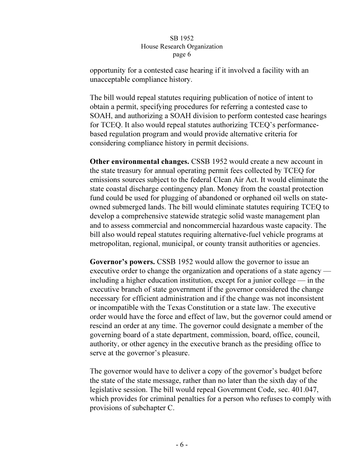# SB 1952 House Research Organization page 6  $r^{\alpha}$

opportunity for a contested case hearing if it involved a facility with an unacceptable compliance history.

The bill would repeal statutes requiring publication of notice of intent to obtain a permit, specifying procedures for referring a contested case to SOAH, and authorizing a SOAH division to perform contested case hearings for TCEQ. It also would repeal statutes authorizing TCEQ's performancebased regulation program and would provide alternative criteria for considering compliance history in permit decisions.

Other environmental changes. CSSB 1952 would create a new account in the state treasury for annual operating permit fees collected by TCEQ for emissions sources subject to the federal Clean Air Act. It would eliminate the state coastal discharge contingency plan. Money from the coastal protection fund could be used for plugging of abandoned or orphaned oil wells on stateowned submerged lands. The bill would eliminate statutes requiring TCEQ to develop a comprehensive statewide strategic solid waste management plan and to assess commercial and noncommercial hazardous waste capacity. The bill also would repeal statutes requiring alternative-fuel vehicle programs at metropolitan, regional, municipal, or county transit authorities or agencies.

Governor's powers. CSSB 1952 would allow the governor to issue an executive order to change the organization and operations of a state agency including a higher education institution, except for a junior college — in the executive branch of state government if the governor considered the change necessary for efficient administration and if the change was not inconsistent or incompatible with the Texas Constitution or a state law. The executive order would have the force and effect of law, but the governor could amend or rescind an order at any time. The governor could designate a member of the governing board of a state department, commission, board, office, council, authority, or other agency in the executive branch as the presiding office to serve at the governor's pleasure.

The governor would have to deliver a copy of the governor's budget before the state of the state message, rather than no later than the sixth day of the legislative session. The bill would repeal Government Code, sec. 401.047, which provides for criminal penalties for a person who refuses to comply with provisions of subchapter C.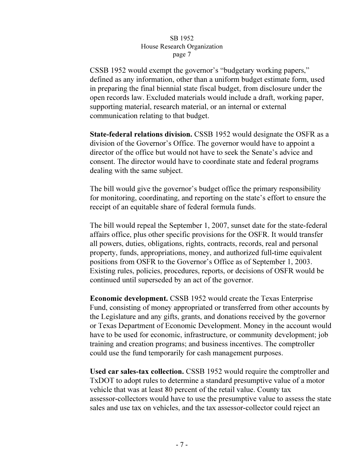# SB 1952 House Research Organization page 7  $r^{\alpha}e^{\alpha}$

CSSB 1952 would exempt the governor's "budgetary working papers," defined as any information, other than a uniform budget estimate form, used in preparing the final biennial state fiscal budget, from disclosure under the open records law. Excluded materials would include a draft, working paper, supporting material, research material, or an internal or external communication relating to that budget.

State-federal relations division. CSSB 1952 would designate the OSFR as a division of the Governor's Office. The governor would have to appoint a director of the office but would not have to seek the Senate's advice and consent. The director would have to coordinate state and federal programs dealing with the same subject.

The bill would give the governor's budget office the primary responsibility for monitoring, coordinating, and reporting on the state's effort to ensure the receipt of an equitable share of federal formula funds.

The bill would repeal the September 1, 2007, sunset date for the state-federal affairs office, plus other specific provisions for the OSFR. It would transfer all powers, duties, obligations, rights, contracts, records, real and personal property, funds, appropriations, money, and authorized full-time equivalent positions from OSFR to the Governor's Office as of September 1, 2003. Existing rules, policies, procedures, reports, or decisions of OSFR would be continued until superseded by an act of the governor.

Economic development. CSSB 1952 would create the Texas Enterprise Fund, consisting of money appropriated or transferred from other accounts by the Legislature and any gifts, grants, and donations received by the governor or Texas Department of Economic Development. Money in the account would have to be used for economic, infrastructure, or community development; job training and creation programs; and business incentives. The comptroller could use the fund temporarily for cash management purposes.

Used car sales-tax collection. CSSB 1952 would require the comptroller and TxDOT to adopt rules to determine a standard presumptive value of a motor vehicle that was at least 80 percent of the retail value. County tax assessor-collectors would have to use the presumptive value to assess the state sales and use tax on vehicles, and the tax assessor-collector could reject an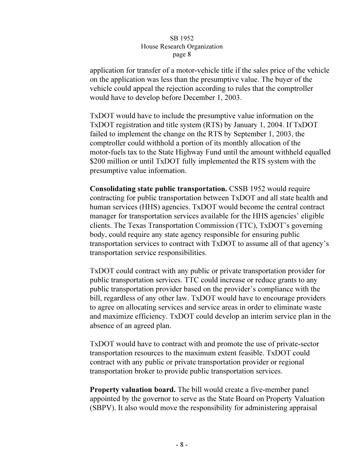# SB 1952 House Research Organization page 8  $r^{\alpha}e^{\alpha}$

application for transfer of a motor-vehicle title if the sales price of the vehicle on the application was less than the presumptive value. The buyer of the vehicle could appeal the rejection according to rules that the comptroller would have to develop before December 1, 2003.

TxDOT would have to include the presumptive value information on the TxDOT registration and title system (RTS) by January 1, 2004. If TxDOT failed to implement the change on the RTS by September 1, 2003, the comptroller could withhold a portion of its monthly allocation of the motor-fuels tax to the State Highway Fund until the amount withheld equalled \$200 million or until TxDOT fully implemented the RTS system with the presumptive value information.

Consolidating state public transportation. CSSB 1952 would require contracting for public transportation between TxDOT and all state health and human services (HHS) agencies. TxDOT would become the central contract manager for transportation services available for the HHS agencies' eligible clients. The Texas Transportation Commission (TTC), TxDOT's governing body, could require any state agency responsible for ensuring public transportation services to contract with TxDOT to assume all of that agency's transportation service responsibilities.

TxDOT could contract with any public or private transportation provider for public transportation services. TTC could increase or reduce grants to any public transportation provider based on the provider's compliance with the bill, regardless of any other law. TxDOT would have to encourage providers to agree on allocating services and service areas in order to eliminate waste and maximize efficiency. TxDOT could develop an interim service plan in the absence of an agreed plan.

TxDOT would have to contract with and promote the use of private-sector transportation resources to the maximum extent feasible. TxDOT could contract with any public or private transportation provider or regional transportation broker to provide public transportation services.

Property valuation board. The bill would create a five-member panel appointed by the governor to serve as the State Board on Property Valuation (SBPV). It also would move the responsibility for administering appraisal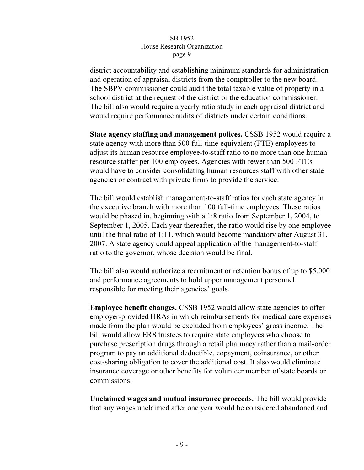# SB 1952 House Research Organization page 9  $\mathbf{r}$   $\mathbf{p}$   $\mathbf{p}$

district accountability and establishing minimum standards for administration and operation of appraisal districts from the comptroller to the new board. The SBPV commissioner could audit the total taxable value of property in a school district at the request of the district or the education commissioner. The bill also would require a yearly ratio study in each appraisal district and would require performance audits of districts under certain conditions.

State agency staffing and management polices. CSSB 1952 would require a state agency with more than 500 full-time equivalent (FTE) employees to adjust its human resource employee-to-staff ratio to no more than one human resource staffer per 100 employees. Agencies with fewer than 500 FTEs would have to consider consolidating human resources staff with other state agencies or contract with private firms to provide the service.

The bill would establish management-to-staff ratios for each state agency in the executive branch with more than 100 full-time employees. These ratios would be phased in, beginning with a 1:8 ratio from September 1, 2004, to September 1, 2005. Each year thereafter, the ratio would rise by one employee until the final ratio of 1:11, which would become mandatory after August 31, 2007. A state agency could appeal application of the management-to-staff ratio to the governor, whose decision would be final.

The bill also would authorize a recruitment or retention bonus of up to \$5,000 and performance agreements to hold upper management personnel responsible for meeting their agencies' goals.

Employee benefit changes. CSSB 1952 would allow state agencies to offer employer-provided HRAs in which reimbursements for medical care expenses made from the plan would be excluded from employees' gross income. The bill would allow ERS trustees to require state employees who choose to purchase prescription drugs through a retail pharmacy rather than a mail-order program to pay an additional deductible, copayment, coinsurance, or other cost-sharing obligation to cover the additional cost. It also would eliminate insurance coverage or other benefits for volunteer member of state boards or commissions.

Unclaimed wages and mutual insurance proceeds. The bill would provide that any wages unclaimed after one year would be considered abandoned and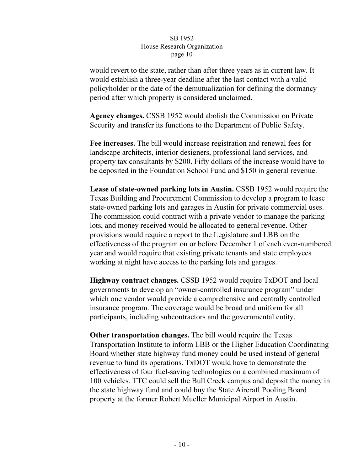# SB 1952 House Research Organization page 10  $\mathbf{r}$   $\mathbf{r}$   $\mathbf{r}$

would revert to the state, rather than after three years as in current law. It would establish a three-year deadline after the last contact with a valid policyholder or the date of the demutualization for defining the dormancy period after which property is considered unclaimed.

Agency changes. CSSB 1952 would abolish the Commission on Private Security and transfer its functions to the Department of Public Safety.

Fee increases. The bill would increase registration and renewal fees for landscape architects, interior designers, professional land services, and property tax consultants by \$200. Fifty dollars of the increase would have to be deposited in the Foundation School Fund and \$150 in general revenue.

Lease of state-owned parking lots in Austin. CSSB 1952 would require the Texas Building and Procurement Commission to develop a program to lease state-owned parking lots and garages in Austin for private commercial uses. The commission could contract with a private vendor to manage the parking lots, and money received would be allocated to general revenue. Other provisions would require a report to the Legislature and LBB on the effectiveness of the program on or before December 1 of each even-numbered year and would require that existing private tenants and state employees working at night have access to the parking lots and garages.

Highway contract changes. CSSB 1952 would require TxDOT and local governments to develop an "owner-controlled insurance program" under which one vendor would provide a comprehensive and centrally controlled insurance program. The coverage would be broad and uniform for all participants, including subcontractors and the governmental entity.

Other transportation changes. The bill would require the Texas Transportation Institute to inform LBB or the Higher Education Coordinating Board whether state highway fund money could be used instead of general revenue to fund its operations. TxDOT would have to demonstrate the effectiveness of four fuel-saving technologies on a combined maximum of 100 vehicles. TTC could sell the Bull Creek campus and deposit the money in the state highway fund and could buy the State Aircraft Pooling Board property at the former Robert Mueller Municipal Airport in Austin.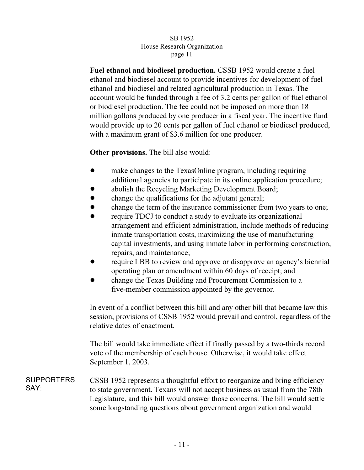# SB 1952 House Research Organization page 11  $\mathbf{r}$   $\mathbf{r}$   $\mathbf{r}$

Fuel ethanol and biodiesel production. CSSB 1952 would create a fuel ethanol and biodiesel account to provide incentives for development of fuel ethanol and biodiesel and related agricultural production in Texas. The account would be funded through a fee of 3.2 cents per gallon of fuel ethanol or biodiesel production. The fee could not be imposed on more than 18 million gallons produced by one producer in a fiscal year. The incentive fund would provide up to 20 cents per gallon of fuel ethanol or biodiesel produced, with a maximum grant of \$3.6 million for one producer.

Other provisions. The bill also would:

- make changes to the TexasOnline program, including requiring additional agencies to participate in its online application procedure;
- abolish the Recycling Marketing Development Board;
- change the qualifications for the adjutant general;
- change the term of the insurance commissioner from two years to one;
- require TDCJ to conduct a study to evaluate its organizational arrangement and efficient administration, include methods of reducing inmate transportation costs, maximizing the use of manufacturing capital investments, and using inmate labor in performing construction, repairs, and maintenance;
- require LBB to review and approve or disapprove an agency's biennial operating plan or amendment within 60 days of receipt; and
- ! change the Texas Building and Procurement Commission to a five-member commission appointed by the governor.

In event of a conflict between this bill and any other bill that became law this session, provisions of CSSB 1952 would prevail and control, regardless of the relative dates of enactment.

The bill would take immediate effect if finally passed by a two-thirds record vote of the membership of each house. Otherwise, it would take effect September 1, 2003.

SUPPORTERS SAY: CSSB 1952 represents a thoughtful effort to reorganize and bring efficiency to state government. Texans will not accept business as usual from the 78th Legislature, and this bill would answer those concerns. The bill would settle some longstanding questions about government organization and would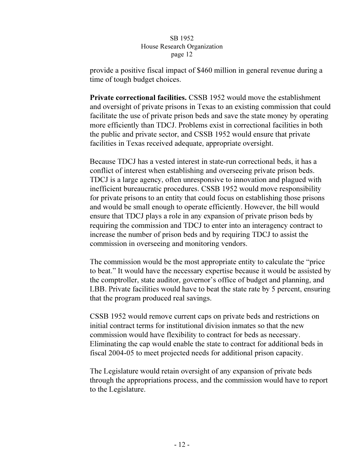# SB 1952 House Research Organization page 12  $_{\rm r}$   $\sim$   $\sim$

provide a positive fiscal impact of \$460 million in general revenue during a time of tough budget choices.

Private correctional facilities. CSSB 1952 would move the establishment and oversight of private prisons in Texas to an existing commission that could facilitate the use of private prison beds and save the state money by operating more efficiently than TDCJ. Problems exist in correctional facilities in both the public and private sector, and CSSB 1952 would ensure that private facilities in Texas received adequate, appropriate oversight.

Because TDCJ has a vested interest in state-run correctional beds, it has a conflict of interest when establishing and overseeing private prison beds. TDCJ is a large agency, often unresponsive to innovation and plagued with inefficient bureaucratic procedures. CSSB 1952 would move responsibility for private prisons to an entity that could focus on establishing those prisons and would be small enough to operate efficiently. However, the bill would ensure that TDCJ plays a role in any expansion of private prison beds by requiring the commission and TDCJ to enter into an interagency contract to increase the number of prison beds and by requiring TDCJ to assist the commission in overseeing and monitoring vendors.

The commission would be the most appropriate entity to calculate the "price to beat." It would have the necessary expertise because it would be assisted by the comptroller, state auditor, governor's office of budget and planning, and LBB. Private facilities would have to beat the state rate by 5 percent, ensuring that the program produced real savings.

CSSB 1952 would remove current caps on private beds and restrictions on initial contract terms for institutional division inmates so that the new commission would have flexibility to contract for beds as necessary. Eliminating the cap would enable the state to contract for additional beds in fiscal 2004-05 to meet projected needs for additional prison capacity.

The Legislature would retain oversight of any expansion of private beds through the appropriations process, and the commission would have to report to the Legislature.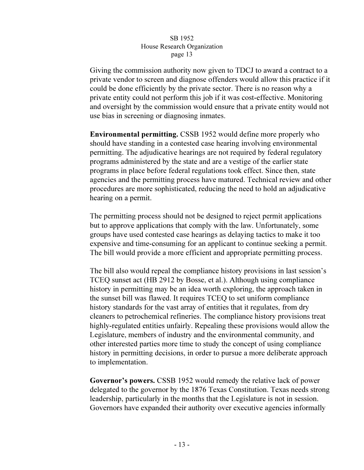# SB 1952 House Research Organization page 13  $\mathbf{r}$   $\mathbf{r}$   $\mathbf{s}$   $\mathbf{r}$   $\mathbf{r}$

Giving the commission authority now given to TDCJ to award a contract to a private vendor to screen and diagnose offenders would allow this practice if it could be done efficiently by the private sector. There is no reason why a private entity could not perform this job if it was cost-effective. Monitoring and oversight by the commission would ensure that a private entity would not use bias in screening or diagnosing inmates.

Environmental permitting. CSSB 1952 would define more properly who should have standing in a contested case hearing involving environmental permitting. The adjudicative hearings are not required by federal regulatory programs administered by the state and are a vestige of the earlier state programs in place before federal regulations took effect. Since then, state agencies and the permitting process have matured. Technical review and other procedures are more sophisticated, reducing the need to hold an adjudicative hearing on a permit.

The permitting process should not be designed to reject permit applications but to approve applications that comply with the law. Unfortunately, some groups have used contested case hearings as delaying tactics to make it too expensive and time-consuming for an applicant to continue seeking a permit. The bill would provide a more efficient and appropriate permitting process.

The bill also would repeal the compliance history provisions in last session's TCEQ sunset act (HB 2912 by Bosse, et al.). Although using compliance history in permitting may be an idea worth exploring, the approach taken in the sunset bill was flawed. It requires TCEQ to set uniform compliance history standards for the vast array of entities that it regulates, from dry cleaners to petrochemical refineries. The compliance history provisions treat highly-regulated entities unfairly. Repealing these provisions would allow the Legislature, members of industry and the environmental community, and other interested parties more time to study the concept of using compliance history in permitting decisions, in order to pursue a more deliberate approach to implementation.

Governor's powers. CSSB 1952 would remedy the relative lack of power delegated to the governor by the 1876 Texas Constitution. Texas needs strong leadership, particularly in the months that the Legislature is not in session. Governors have expanded their authority over executive agencies informally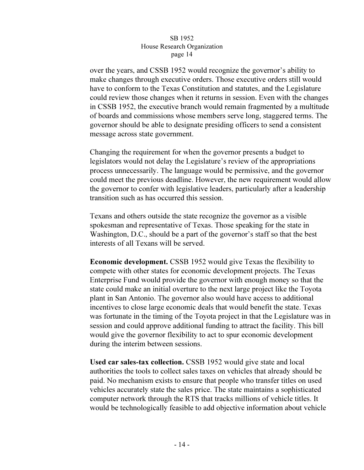# SB 1952 House Research Organization page 14  $\mathbf{r}$   $\mathbf{r}$   $\mathbf{r}$

over the years, and CSSB 1952 would recognize the governor's ability to make changes through executive orders. Those executive orders still would have to conform to the Texas Constitution and statutes, and the Legislature could review those changes when it returns in session. Even with the changes in CSSB 1952, the executive branch would remain fragmented by a multitude of boards and commissions whose members serve long, staggered terms. The governor should be able to designate presiding officers to send a consistent message across state government.

Changing the requirement for when the governor presents a budget to legislators would not delay the Legislature's review of the appropriations process unnecessarily. The language would be permissive, and the governor could meet the previous deadline. However, the new requirement would allow the governor to confer with legislative leaders, particularly after a leadership transition such as has occurred this session.

Texans and others outside the state recognize the governor as a visible spokesman and representative of Texas. Those speaking for the state in Washington, D.C., should be a part of the governor's staff so that the best interests of all Texans will be served.

Economic development. CSSB 1952 would give Texas the flexibility to compete with other states for economic development projects. The Texas Enterprise Fund would provide the governor with enough money so that the state could make an initial overture to the next large project like the Toyota plant in San Antonio. The governor also would have access to additional incentives to close large economic deals that would benefit the state. Texas was fortunate in the timing of the Toyota project in that the Legislature was in session and could approve additional funding to attract the facility. This bill would give the governor flexibility to act to spur economic development during the interim between sessions.

Used car sales-tax collection. CSSB 1952 would give state and local authorities the tools to collect sales taxes on vehicles that already should be paid. No mechanism exists to ensure that people who transfer titles on used vehicles accurately state the sales price. The state maintains a sophisticated computer network through the RTS that tracks millions of vehicle titles. It would be technologically feasible to add objective information about vehicle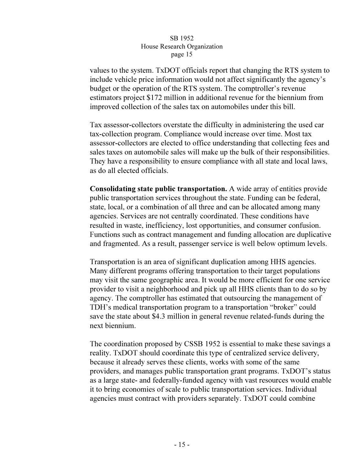# SB 1952 House Research Organization page 15  $\mathbf{r}$   $\mathbf{r}$   $\mathbf{r}$

values to the system. TxDOT officials report that changing the RTS system to include vehicle price information would not affect significantly the agency's budget or the operation of the RTS system. The comptroller's revenue estimators project \$172 million in additional revenue for the biennium from improved collection of the sales tax on automobiles under this bill.

Tax assessor-collectors overstate the difficulty in administering the used car tax-collection program. Compliance would increase over time. Most tax assessor-collectors are elected to office understanding that collecting fees and sales taxes on automobile sales will make up the bulk of their responsibilities. They have a responsibility to ensure compliance with all state and local laws, as do all elected officials.

Consolidating state public transportation. A wide array of entities provide public transportation services throughout the state. Funding can be federal, state, local, or a combination of all three and can be allocated among many agencies. Services are not centrally coordinated. These conditions have resulted in waste, inefficiency, lost opportunities, and consumer confusion. Functions such as contract management and funding allocation are duplicative and fragmented. As a result, passenger service is well below optimum levels.

Transportation is an area of significant duplication among HHS agencies. Many different programs offering transportation to their target populations may visit the same geographic area. It would be more efficient for one service provider to visit a neighborhood and pick up all HHS clients than to do so by agency. The comptroller has estimated that outsourcing the management of TDH's medical transportation program to a transportation "broker" could save the state about \$4.3 million in general revenue related-funds during the next biennium.

The coordination proposed by CSSB 1952 is essential to make these savings a reality. TxDOT should coordinate this type of centralized service delivery, because it already serves these clients, works with some of the same providers, and manages public transportation grant programs. TxDOT's status as a large state- and federally-funded agency with vast resources would enable it to bring economies of scale to public transportation services. Individual agencies must contract with providers separately. TxDOT could combine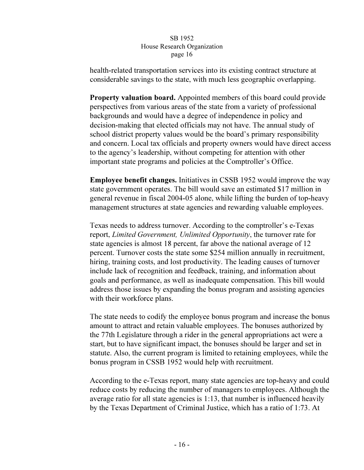# SB 1952 House Research Organization page 16  $\mathbf{r}$   $\mathbf{r}$   $\mathbf{r}$

health-related transportation services into its existing contract structure at considerable savings to the state, with much less geographic overlapping.

Property valuation board. Appointed members of this board could provide perspectives from various areas of the state from a variety of professional backgrounds and would have a degree of independence in policy and decision-making that elected officials may not have. The annual study of school district property values would be the board's primary responsibility and concern. Local tax officials and property owners would have direct access to the agency's leadership, without competing for attention with other important state programs and policies at the Comptroller's Office.

Employee benefit changes. Initiatives in CSSB 1952 would improve the way state government operates. The bill would save an estimated \$17 million in general revenue in fiscal 2004-05 alone, while lifting the burden of top-heavy management structures at state agencies and rewarding valuable employees.

Texas needs to address turnover. According to the comptroller's e-Texas report, Limited Government, Unlimited Opportunity, the turnover rate for state agencies is almost 18 percent, far above the national average of 12 percent. Turnover costs the state some \$254 million annually in recruitment, hiring, training costs, and lost productivity. The leading causes of turnover include lack of recognition and feedback, training, and information about goals and performance, as well as inadequate compensation. This bill would address those issues by expanding the bonus program and assisting agencies with their workforce plans.

The state needs to codify the employee bonus program and increase the bonus amount to attract and retain valuable employees. The bonuses authorized by the 77th Legislature through a rider in the general appropriations act were a start, but to have significant impact, the bonuses should be larger and set in statute. Also, the current program is limited to retaining employees, while the bonus program in CSSB 1952 would help with recruitment.

According to the e-Texas report, many state agencies are top-heavy and could reduce costs by reducing the number of managers to employees. Although the average ratio for all state agencies is 1:13, that number is influenced heavily by the Texas Department of Criminal Justice, which has a ratio of 1:73. At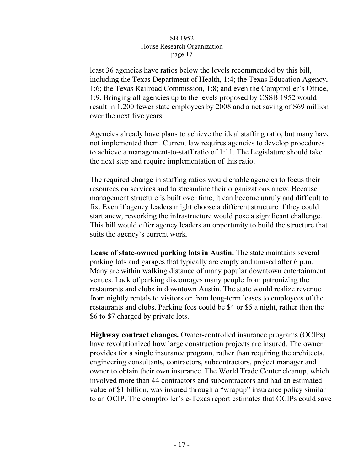# SB 1952 House Research Organization page 17  $\mathbf{r}$   $\mathbf{r}$   $\mathbf{r}$

least 36 agencies have ratios below the levels recommended by this bill, including the Texas Department of Health, 1:4; the Texas Education Agency, 1:6; the Texas Railroad Commission, 1:8; and even the Comptroller's Office, 1:9. Bringing all agencies up to the levels proposed by CSSB 1952 would result in 1,200 fewer state employees by 2008 and a net saving of \$69 million over the next five years.

Agencies already have plans to achieve the ideal staffing ratio, but many have not implemented them. Current law requires agencies to develop procedures to achieve a management-to-staff ratio of 1:11. The Legislature should take the next step and require implementation of this ratio.

The required change in staffing ratios would enable agencies to focus their resources on services and to streamline their organizations anew. Because management structure is built over time, it can become unruly and difficult to fix. Even if agency leaders might choose a different structure if they could start anew, reworking the infrastructure would pose a significant challenge. This bill would offer agency leaders an opportunity to build the structure that suits the agency's current work.

Lease of state-owned parking lots in Austin. The state maintains several parking lots and garages that typically are empty and unused after 6 p.m. Many are within walking distance of many popular downtown entertainment venues. Lack of parking discourages many people from patronizing the restaurants and clubs in downtown Austin. The state would realize revenue from nightly rentals to visitors or from long-term leases to employees of the restaurants and clubs. Parking fees could be \$4 or \$5 a night, rather than the \$6 to \$7 charged by private lots.

Highway contract changes. Owner-controlled insurance programs (OCIPs) have revolutionized how large construction projects are insured. The owner provides for a single insurance program, rather than requiring the architects, engineering consultants, contractors, subcontractors, project manager and owner to obtain their own insurance. The World Trade Center cleanup, which involved more than 44 contractors and subcontractors and had an estimated value of \$1 billion, was insured through a "wrapup" insurance policy similar to an OCIP. The comptroller's e-Texas report estimates that OCIPs could save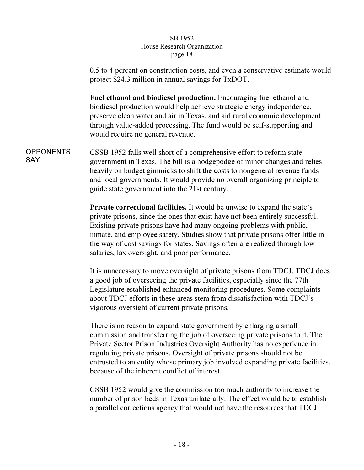# SB 1952 House Research Organization page 18  $\mathbf{r}$   $\mathbf{r}$   $\mathbf{r}$

0.5 to 4 percent on construction costs, and even a conservative estimate would project \$24.3 million in annual savings for TxDOT.

Fuel ethanol and biodiesel production. Encouraging fuel ethanol and biodiesel production would help achieve strategic energy independence, preserve clean water and air in Texas, and aid rural economic development through value-added processing. The fund would be self-supporting and would require no general revenue.

**OPPONENTS** SAY: CSSB 1952 falls well short of a comprehensive effort to reform state government in Texas. The bill is a hodgepodge of minor changes and relies heavily on budget gimmicks to shift the costs to nongeneral revenue funds and local governments. It would provide no overall organizing principle to guide state government into the 21st century.

> Private correctional facilities. It would be unwise to expand the state's private prisons, since the ones that exist have not been entirely successful. Existing private prisons have had many ongoing problems with public, inmate, and employee safety. Studies show that private prisons offer little in the way of cost savings for states. Savings often are realized through low salaries, lax oversight, and poor performance.

It is unnecessary to move oversight of private prisons from TDCJ. TDCJ does a good job of overseeing the private facilities, especially since the 77th Legislature established enhanced monitoring procedures. Some complaints about TDCJ efforts in these areas stem from dissatisfaction with TDCJ's vigorous oversight of current private prisons.

There is no reason to expand state government by enlarging a small commission and transferring the job of overseeing private prisons to it. The Private Sector Prison Industries Oversight Authority has no experience in regulating private prisons. Oversight of private prisons should not be entrusted to an entity whose primary job involved expanding private facilities, because of the inherent conflict of interest.

CSSB 1952 would give the commission too much authority to increase the number of prison beds in Texas unilaterally. The effect would be to establish a parallel corrections agency that would not have the resources that TDCJ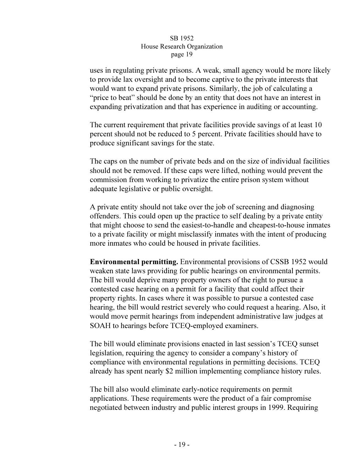# SB 1952 House Research Organization page 19  $\mathbf{r}$   $\mathbf{p}$   $\mathbf{p}$

uses in regulating private prisons. A weak, small agency would be more likely to provide lax oversight and to become captive to the private interests that would want to expand private prisons. Similarly, the job of calculating a "price to beat" should be done by an entity that does not have an interest in expanding privatization and that has experience in auditing or accounting.

The current requirement that private facilities provide savings of at least 10 percent should not be reduced to 5 percent. Private facilities should have to produce significant savings for the state.

The caps on the number of private beds and on the size of individual facilities should not be removed. If these caps were lifted, nothing would prevent the commission from working to privatize the entire prison system without adequate legislative or public oversight.

A private entity should not take over the job of screening and diagnosing offenders. This could open up the practice to self dealing by a private entity that might choose to send the easiest-to-handle and cheapest-to-house inmates to a private facility or might misclassify inmates with the intent of producing more inmates who could be housed in private facilities.

Environmental permitting. Environmental provisions of CSSB 1952 would weaken state laws providing for public hearings on environmental permits. The bill would deprive many property owners of the right to pursue a contested case hearing on a permit for a facility that could affect their property rights. In cases where it was possible to pursue a contested case hearing, the bill would restrict severely who could request a hearing. Also, it would move permit hearings from independent administrative law judges at SOAH to hearings before TCEQ-employed examiners.

The bill would eliminate provisions enacted in last session's TCEQ sunset legislation, requiring the agency to consider a company's history of compliance with environmental regulations in permitting decisions. TCEQ already has spent nearly \$2 million implementing compliance history rules.

The bill also would eliminate early-notice requirements on permit applications. These requirements were the product of a fair compromise negotiated between industry and public interest groups in 1999. Requiring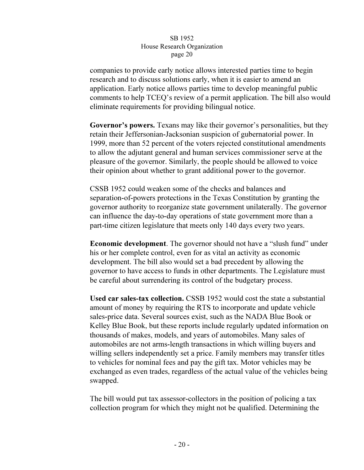# SB 1952 House Research Organization page 20  $r - 3 = 2$

companies to provide early notice allows interested parties time to begin research and to discuss solutions early, when it is easier to amend an application. Early notice allows parties time to develop meaningful public comments to help TCEQ's review of a permit application. The bill also would eliminate requirements for providing bilingual notice.

Governor's powers. Texans may like their governor's personalities, but they retain their Jeffersonian-Jacksonian suspicion of gubernatorial power. In 1999, more than 52 percent of the voters rejected constitutional amendments to allow the adjutant general and human services commissioner serve at the pleasure of the governor. Similarly, the people should be allowed to voice their opinion about whether to grant additional power to the governor.

CSSB 1952 could weaken some of the checks and balances and separation-of-powers protections in the Texas Constitution by granting the governor authority to reorganize state government unilaterally. The governor can influence the day-to-day operations of state government more than a part-time citizen legislature that meets only 140 days every two years.

Economic development. The governor should not have a "slush fund" under his or her complete control, even for as vital an activity as economic development. The bill also would set a bad precedent by allowing the governor to have access to funds in other departments. The Legislature must be careful about surrendering its control of the budgetary process.

Used car sales-tax collection. CSSB 1952 would cost the state a substantial amount of money by requiring the RTS to incorporate and update vehicle sales-price data. Several sources exist, such as the NADA Blue Book or Kelley Blue Book, but these reports include regularly updated information on thousands of makes, models, and years of automobiles. Many sales of automobiles are not arms-length transactions in which willing buyers and willing sellers independently set a price. Family members may transfer titles to vehicles for nominal fees and pay the gift tax. Motor vehicles may be exchanged as even trades, regardless of the actual value of the vehicles being swapped.

The bill would put tax assessor-collectors in the position of policing a tax collection program for which they might not be qualified. Determining the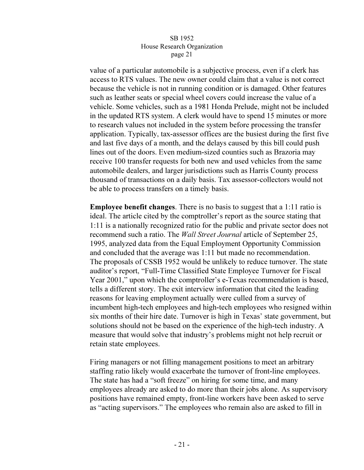# SB 1952 House Research Organization page  $21$  $\frac{1}{2}$

value of a particular automobile is a subjective process, even if a clerk has access to RTS values. The new owner could claim that a value is not correct because the vehicle is not in running condition or is damaged. Other features such as leather seats or special wheel covers could increase the value of a vehicle. Some vehicles, such as a 1981 Honda Prelude, might not be included in the updated RTS system. A clerk would have to spend 15 minutes or more to research values not included in the system before processing the transfer application. Typically, tax-assessor offices are the busiest during the first five and last five days of a month, and the delays caused by this bill could push lines out of the doors. Even medium-sized counties such as Brazoria may receive 100 transfer requests for both new and used vehicles from the same automobile dealers, and larger jurisdictions such as Harris County process thousand of transactions on a daily basis. Tax assessor-collectors would not be able to process transfers on a timely basis.

Employee benefit changes. There is no basis to suggest that a 1:11 ratio is ideal. The article cited by the comptroller's report as the source stating that 1:11 is a nationally recognized ratio for the public and private sector does not recommend such a ratio. The Wall Street Journal article of September 25, 1995, analyzed data from the Equal Employment Opportunity Commission and concluded that the average was 1:11 but made no recommendation. The proposals of CSSB 1952 would be unlikely to reduce turnover. The state auditor's report, "Full-Time Classified State Employee Turnover for Fiscal Year 2001," upon which the comptroller's e-Texas recommendation is based, tells a different story. The exit interview information that cited the leading reasons for leaving employment actually were culled from a survey of incumbent high-tech employees and high-tech employees who resigned within six months of their hire date. Turnover is high in Texas' state government, but solutions should not be based on the experience of the high-tech industry. A measure that would solve that industry's problems might not help recruit or retain state employees.

Firing managers or not filling management positions to meet an arbitrary staffing ratio likely would exacerbate the turnover of front-line employees. The state has had a "soft freeze" on hiring for some time, and many employees already are asked to do more than their jobs alone. As supervisory positions have remained empty, front-line workers have been asked to serve as "acting supervisors." The employees who remain also are asked to fill in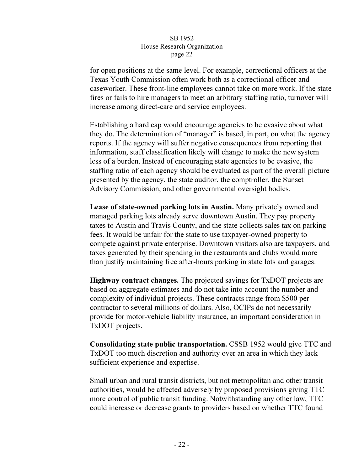# SB 1952 House Research Organization  $\frac{1}{2}$  $r - 2$

for open positions at the same level. For example, correctional officers at the Texas Youth Commission often work both as a correctional officer and caseworker. These front-line employees cannot take on more work. If the state fires or fails to hire managers to meet an arbitrary staffing ratio, turnover will increase among direct-care and service employees.

Establishing a hard cap would encourage agencies to be evasive about what they do. The determination of "manager" is based, in part, on what the agency reports. If the agency will suffer negative consequences from reporting that information, staff classification likely will change to make the new system less of a burden. Instead of encouraging state agencies to be evasive, the staffing ratio of each agency should be evaluated as part of the overall picture presented by the agency, the state auditor, the comptroller, the Sunset Advisory Commission, and other governmental oversight bodies.

Lease of state-owned parking lots in Austin. Many privately owned and managed parking lots already serve downtown Austin. They pay property taxes to Austin and Travis County, and the state collects sales tax on parking fees. It would be unfair for the state to use taxpayer-owned property to compete against private enterprise. Downtown visitors also are taxpayers, and taxes generated by their spending in the restaurants and clubs would more than justify maintaining free after-hours parking in state lots and garages.

Highway contract changes. The projected savings for TxDOT projects are based on aggregate estimates and do not take into account the number and complexity of individual projects. These contracts range from \$500 per contractor to several millions of dollars. Also, OCIPs do not necessarily provide for motor-vehicle liability insurance, an important consideration in TxDOT projects.

Consolidating state public transportation. CSSB 1952 would give TTC and TxDOT too much discretion and authority over an area in which they lack sufficient experience and expertise.

Small urban and rural transit districts, but not metropolitan and other transit authorities, would be affected adversely by proposed provisions giving TTC more control of public transit funding. Notwithstanding any other law, TTC could increase or decrease grants to providers based on whether TTC found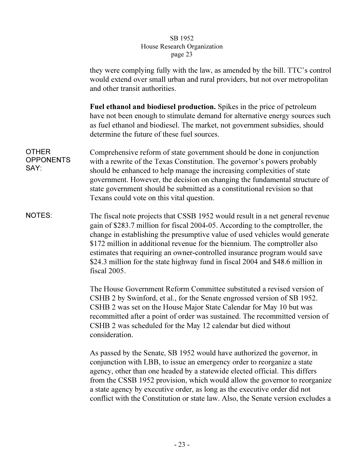# SB 1952 House Research Organization page 23  $r - 3$

they were complying fully with the law, as amended by the bill. TTC's control would extend over small urban and rural providers, but not over metropolitan and other transit authorities.

Fuel ethanol and biodiesel production. Spikes in the price of petroleum have not been enough to stimulate demand for alternative energy sources such as fuel ethanol and biodiesel. The market, not government subsidies, should determine the future of these fuel sources.

OTHER **OPPONENTS** SAY: Comprehensive reform of state government should be done in conjunction with a rewrite of the Texas Constitution. The governor's powers probably should be enhanced to help manage the increasing complexities of state government. However, the decision on changing the fundamental structure of state government should be submitted as a constitutional revision so that Texans could vote on this vital question.

NOTES: The fiscal note projects that CSSB 1952 would result in a net general revenue gain of \$283.7 million for fiscal 2004-05. According to the comptroller, the change in establishing the presumptive value of used vehicles would generate \$172 million in additional revenue for the biennium. The comptroller also estimates that requiring an owner-controlled insurance program would save \$24.3 million for the state highway fund in fiscal 2004 and \$48.6 million in fiscal 2005.

> The House Government Reform Committee substituted a revised version of CSHB 2 by Swinford, et al., for the Senate engrossed version of SB 1952. CSHB 2 was set on the House Major State Calendar for May 10 but was recommitted after a point of order was sustained. The recommitted version of CSHB 2 was scheduled for the May 12 calendar but died without consideration.

As passed by the Senate, SB 1952 would have authorized the governor, in conjunction with LBB, to issue an emergency order to reorganize a state agency, other than one headed by a statewide elected official. This differs from the CSSB 1952 provision, which would allow the governor to reorganize a state agency by executive order, as long as the executive order did not conflict with the Constitution or state law. Also, the Senate version excludes a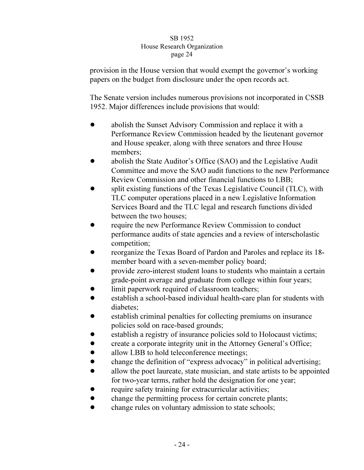# SB 1952 House Research Organization page 24  $\frac{1}{2}$

provision in the House version that would exempt the governor's working papers on the budget from disclosure under the open records act.

The Senate version includes numerous provisions not incorporated in CSSB 1952. Major differences include provisions that would:

- abolish the Sunset Advisory Commission and replace it with a Performance Review Commission headed by the lieutenant governor and House speaker, along with three senators and three House members;
- ! abolish the State Auditor's Office (SAO) and the Legislative Audit Committee and move the SAO audit functions to the new Performance Review Commission and other financial functions to LBB;
- split existing functions of the Texas Legislative Council (TLC), with TLC computer operations placed in a new Legislative Information Services Board and the TLC legal and research functions divided between the two houses;
- require the new Performance Review Commission to conduct performance audits of state agencies and a review of interscholastic competition;
- ! reorganize the Texas Board of Pardon and Paroles and replace its 18 member board with a seven-member policy board;
- ! provide zero-interest student loans to students who maintain a certain grade-point average and graduate from college within four years;
- limit paperwork required of classroom teachers;
- ! establish a school-based individual health-care plan for students with diabetes;
- ! establish criminal penalties for collecting premiums on insurance policies sold on race-based grounds;
- establish a registry of insurance policies sold to Holocaust victims;
- create a corporate integrity unit in the Attorney General's Office;
- allow LBB to hold teleconference meetings;
- ! change the definition of "express advocacy" in political advertising;
- allow the poet laureate, state musician, and state artists to be appointed for two-year terms, rather hold the designation for one year;
- require safety training for extracurricular activities;
- change the permitting process for certain concrete plants;
- change rules on voluntary admission to state schools;